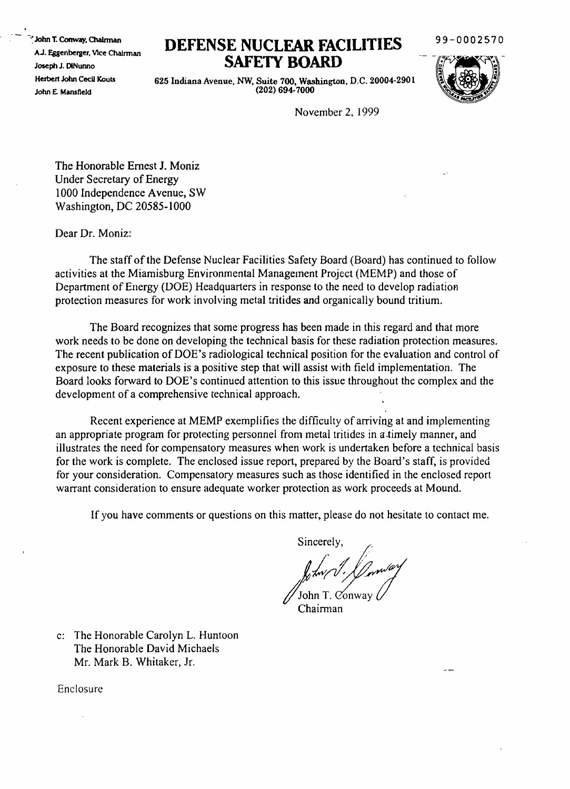<sup>e</sup> John T. Conway, Chairman AJ. Eggenberger, VIce ChaJrman Joseph J. D1Nunno Herbert John Cecil Kouts John E. Mansfield

## **DEFENSE NUCLFAR FACILITIES SAFETY BOARD**

99-0002570

625 Indiana Avenue, NW, Suite 700, Washington, D.C. 20004-2901 (202) 694-7000



November 2. 1999

The Honorable Ernest 1. Moniz Under Secretary of Energy 1000 Independence Avenue, SW Washington, DC 20585-1000

Dear Dr. Moniz:

The staff of the Defense Nuclear Facilities Safety Board (Board) has continued to follow activities at the Miamisburg Environmental Management Project (MEMP) and those of Department of Energy (DOE) Headquarters in response to the need to develop radiation protection measures for work involving metal tritides and organically bound tritium.

The Board recognizes that some progress has been made in this regard and that more work needs to be done on developing the technical basis for these radiation protection measures. The recent publication of DOE's radiological technical position for the evaluation and control of exposure to these materials is a positive step that will assist with field implementation. The Board looks forward to DOE's continued attention to this issue throughout the complex and the development of a comprehensive technical approach.

Recent experience at MEMP exemplifies the difficulty of arriving at and implementing an appropriate program for protecting personnel from metal tritides in a timely manner, and illustrates the need for compensatory measures when work is undertaken before a technical basis for the work is complete. The enclosed issue report, prepared by the Board's staff, is provided for your consideration. Compensatory measures such as those identified in the enclosed report warrant consideration to ensure adequate worker protection as work proceeds at Mound.

If you have comments or questions on this matter, please do not hesitate to contact me.

Sincerely.

 $\int_{\mathcal{V}}$ tw/ $\int$ // $\int_{\mathcal{V}}$ ov $\mathcal{V}$  $\mathcal{U}$  John T. Conway

Chairman

c: The Honorable Carolyn L. Huntoon The Honorable David Michaels Mr. Mark B. Whitaker, Jr.

Enclosure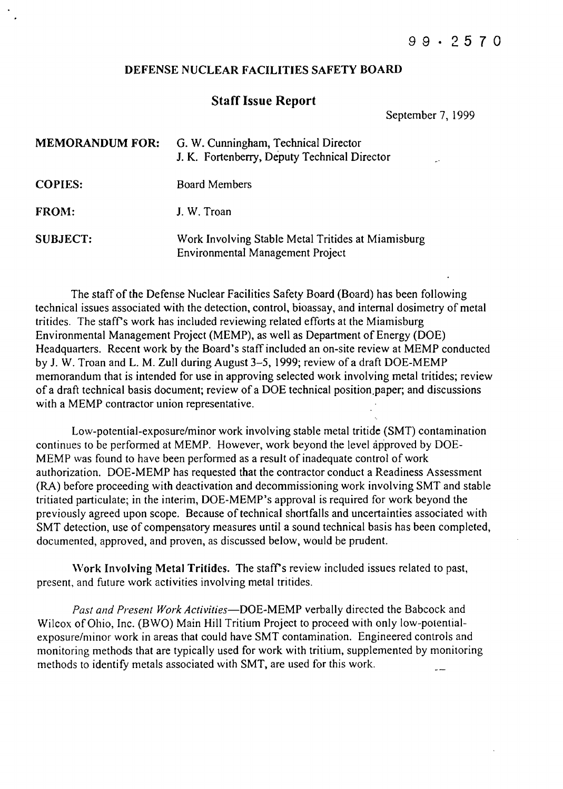## DEFENSE NUCLEAR FACILITIES SAFETY BOARD

## Staff Issue Report

September 7, 1999

| <b>MEMORANDUM FOR:</b> | G. W. Cunningham, Technical Director<br>J. K. Fortenberry, Deputy Technical Director   |
|------------------------|----------------------------------------------------------------------------------------|
| <b>COPIES:</b>         | <b>Board Members</b>                                                                   |
| FROM:                  | J. W. Troan                                                                            |
| <b>SUBJECT:</b>        | Work Involving Stable Metal Tritides at Miamisburg<br>Environmental Management Project |

The staff of the Defense Nuclear Facilities Safety Board (Board) has been following technical issues associated with the detection, control, bioassay, and internal dosimetry of metal tritides. The staffs work has included reviewing related efforts at the Miamisburg Environmental Management Project (MEMP), as well as Department of Energy (DOE) Headquarters. Recent work by the Board's staff included an on-site review at MEMP conducted by J. W. Troan and L. M. Zull during August 3-5, 1999; review of a draft DOE-MEMP memorandum that is intended for use in approving selected work involving metal tritides; review of a draft technical basis document; review of a DOE technical position,paper; and discussions with a MEMP contractor union representative.

Low-potentia1-exposure/minor work involving stable metal tritide (SMT) contamination continues to be performed at MEMP. However, work beyond the level approved by DOE-MEMP was found to have been perfonned as a result of inadequate control of work authorization. DOE-MEMP has requested that the contractor conduct a Readiness Assessment (RA) before proceeding with deactivation and decommissioning work involving SMT and stable tritiated particulate; in the interim, DOE-MEMP's approval is required for work beyond the previously agreed upon scope. Because of technical shortfalls and uncertainties associated with SMT detection, use of compensatory measures until a sound technical basis has been completed, documented, approved, and proven, as discussed below, would be prudent.

Work Involving Metal Tritides. The staff's review included issues related to past, present, and future work activities involving metal tritides.

*Past and Present Work Activities-DOE-MEMP* verbally directed the Babcock and Wilcox of Ohio, Inc. (BWO) Main Hill Tritium Project to proceed with only low-potentialexposure/minor work in areas that could have SMT contamination. Engineered controls and monitoring methods that are typically used for work with tritium, supplemented by monitoring methods to identify metals associated with SMT, are used for this work.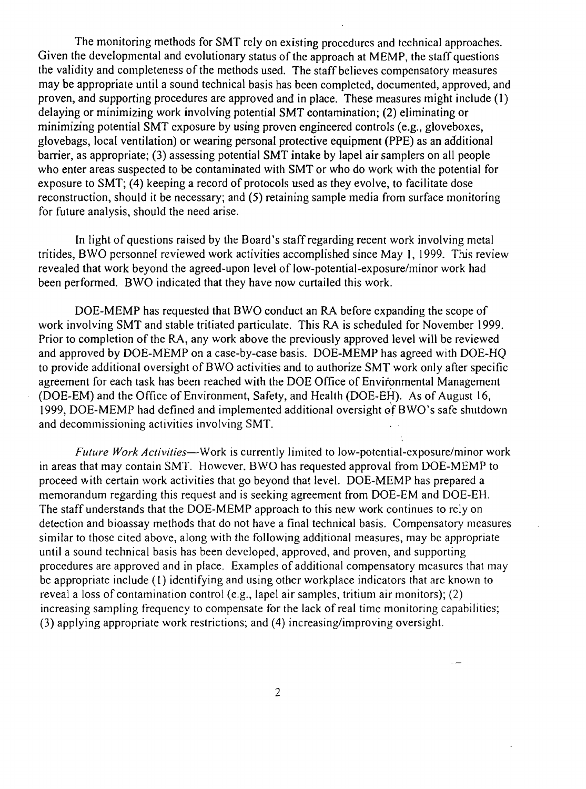The monitoring methods for SMT rely on existing procedures and technical approaches. Given the developmental and evolutionary status of the approach at MEMP, the staff questions the validity and completeness of the methods used. The staff believes compensatory measures may be appropriate until a sound technical basis has been completed, documented, approved, and proven, and supporting procedures are approved and in place. These measures might include (1) delaying or minimizing work involving potential SMT contamination; (2) eliminating or minimizing potential SMT exposure by using proven engineered controls (e.g., gloveboxes, glovebags, local ventilation) or wearing personal protective equipment (PPE) as an additional barrier, as appropriate; (3) assessing potential SMT intake by lapel air samplers on all people who enter areas suspected to be contaminated with SMT or who do work with the potential for exposure to SMT; (4) keeping a record of protocols used as they evolve, to facilitate dose reconstruction, should it be necessary; and (5) retaining sample media from surface monitoring for future analysis, should the need arise.

In light of questions raised by the Board's staff regarding recent work involving metal tritides, BWO personnel reviewed work activities accomplished since May I, 1999. This review revealed that work beyond the agreed-upon level of low-potential-exposure/minor work had been performed. BWO indicated that they have now curtailed this work.

DOE-MEMP has requested that BWO conduct an RA before expanding the scope of work involving SMT and stable tritiated particulate. This RA is scheduled for November 1999. Prior to completion of the RA, any work above the previously approved level will be reviewed and approved by DOE-MEMP on a case-by-case basis. DOE-MEMP has agreed with DOE-HQ to provide additional oversight of BWO activities and to authorize SMT work only after specific agreement for each task has been reached with the DOE Office of Environmental Management (DOE-EM) and the Office of Environment, Safety, and Health (DOE-EH). As of August 16, 1999, DOE-MEMP had defined and implemented additional oversight of BWO's safe shutdown and decommissioning activities involving SMT.

*Future Work Activities-Work* is currently limited to low-potential-exposure/minor work in areas that may contain SMT. However. BWO has requested approval from DOE-MEMP to proceed with certain work activities that go beyond that level. DOE-MEMP has prepared a memorandum regarding this request and is seeking agreement from DOE-EM and DOE-EH. The staff understands that the DOE-MEMP approach to this new work continues to rely on detection and bioassay methods that do not have a final technical basis. Compensatory measures similar to those cited above, along with the following additional measures, may be appropriate until a sound technical basis has been developed, approved, and proven, and supporting procedures are approved and in place. Examples of additional compensatory measures that may be appropriate include (1) identifying and using other workplace indicators that are known to reveal a loss of contamination control (e.g., lapel air samples, tritium air monitors); (2) increasing sampling frequency to compensate for the lack of real timc monitoring capabilities; (3) applying appropriate work restrictions; and (4) increasing/improving oversight.